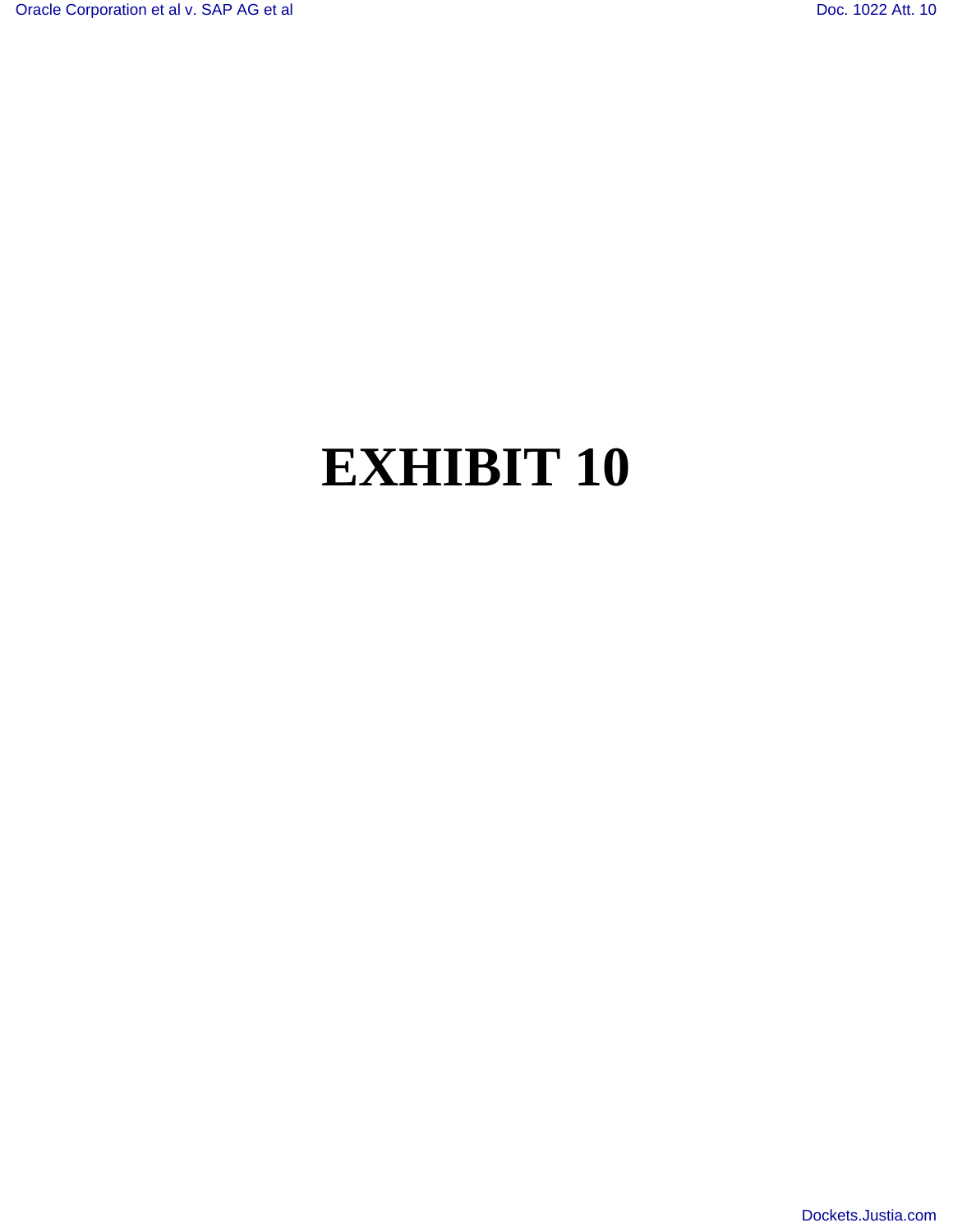# **EXHIBIT 10**

[Dockets.Justia.com](http://dockets.justia.com/)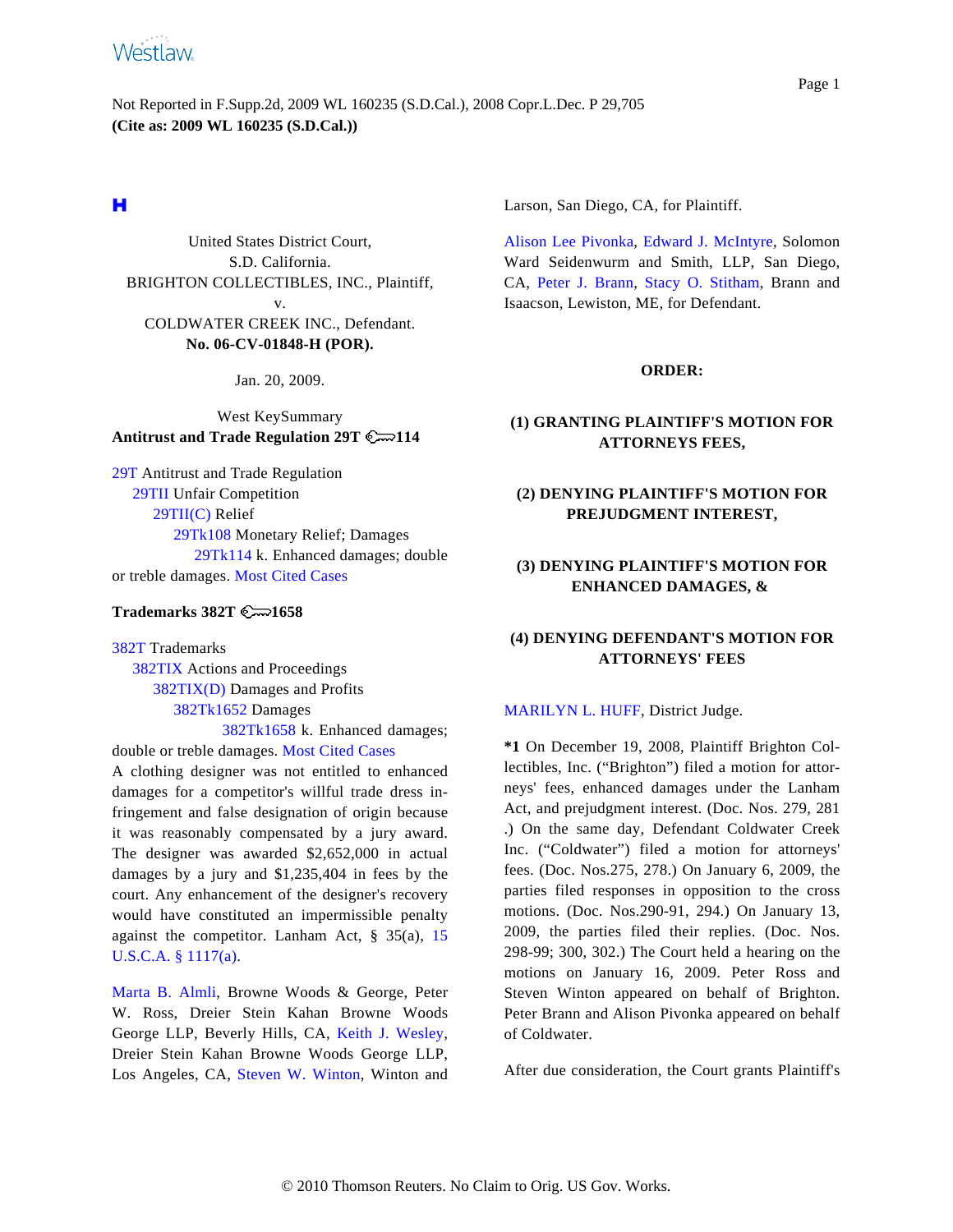# **Westlaw**

Not Reported in F.Supp.2d, 2009 WL 160235 (S.D.Cal.), 2008 Copr.L.Dec. P 29,705 **(Cite as: 2009 WL 160235 (S.D.Cal.))**

United States District Court, S.D. California. BRIGHTON COLLECTIBLES, INC., Plaintiff, v. COLDWATER CREEK INC., Defendant. **No. 06-CV-01848-H (POR).**

Jan. 20, 2009.

West KeySummary **Antitrust and Trade Regulation 29T 114**

[29T](http://www.westlaw.com/KeyNumber/Default.wl?rs=dfa1.0&vr=2.0&CMD=KEY&DocName=29T) Antitrust and Trade Regulation [29TII](http://www.westlaw.com/KeyNumber/Default.wl?rs=dfa1.0&vr=2.0&CMD=KEY&DocName=29TII) Unfair Competition 29TII(C) [Relief](http://www.westlaw.com/KeyNumber/Default.wl?rs=dfa1.0&vr=2.0&CMD=KEY&DocName=29TII%28C%29) [29Tk108](http://www.westlaw.com/KeyNumber/Default.wl?rs=dfa1.0&vr=2.0&CMD=KEY&DocName=29Tk108) Monetary Relief; Damages 29Tk114 k. [Enhanced](http://www.westlaw.com/KeyNumber/Default.wl?rs=dfa1.0&vr=2.0&CMD=KEY&DocName=29Tk114) damages; double or treble damages. [Most Cited Cases](http://www.westlaw.com/Digest/Default.wl?rs=dfa1.0&vr=2.0&CMD=MCC&DocName=29Tk114)

# **Trademarks 382T**  $\mathbb{C}$  1658

[382T](http://www.westlaw.com/KeyNumber/Default.wl?rs=dfa1.0&vr=2.0&CMD=KEY&DocName=382T) Trademarks [382TIX](http://www.westlaw.com/KeyNumber/Default.wl?rs=dfa1.0&vr=2.0&CMD=KEY&DocName=382TIX) Actions and Proceedings 382TIX(D) [Dama](http://www.westlaw.com/KeyNumber/Default.wl?rs=dfa1.0&vr=2.0&CMD=KEY&DocName=382TIX%28D%29)ges and Profits [382Tk1652](http://www.westlaw.com/KeyNumber/Default.wl?rs=dfa1.0&vr=2.0&CMD=KEY&DocName=382Tk1652) Damages 382Tk1658 [k. Enhanced](http://www.westlaw.com/KeyNumber/Default.wl?rs=dfa1.0&vr=2.0&CMD=KEY&DocName=382Tk1658) damages;

double or treble damages. [Most Cited Cases](http://www.westlaw.com/Digest/Default.wl?rs=dfa1.0&vr=2.0&CMD=MCC&DocName=382Tk1658) A clothing designer was not entitled to enhanced damages for a competitor's willful trade dress infringement and false designation of origin because it was reasonably compensated by a jury award. The designer was awarded \$2,652,000 in actual damages by a jury and \$1,235,404 in fees by the court. Any enhancement of the designer's recovery would have constituted an impermissible penalty against the competitor. Lanham Act,  $\S$  35(a), [15](http://www.westlaw.com/Find/Default.wl?rs=dfa1.0&vr=2.0&DB=1000546&DocName=15USCAS1117&FindType=L&ReferencePositionType=T&ReferencePosition=SP_8b3b0000958a4) [U.S.C.A. § 1117\(a\)](http://www.westlaw.com/Find/Default.wl?rs=dfa1.0&vr=2.0&DB=1000546&DocName=15USCAS1117&FindType=L&ReferencePositionType=T&ReferencePosition=SP_8b3b0000958a4).

[Marta B. Alm](http://www.westlaw.com/Find/Default.wl?rs=dfa1.0&vr=2.0&DB=PROFILER-WLD&DocName=0393539401&FindType=h)li, Browne Woods & George, Peter W. Ross, Dreier Stein Kahan Browne Woods George LLP, Beverly Hills, CA, [Keith J. Wesle](http://www.westlaw.com/Find/Default.wl?rs=dfa1.0&vr=2.0&DB=PROFILER-WLD&DocName=0393539601&FindType=h)y, Dreier Stein Kahan Browne Woods George LLP, Los Angeles, CA, [Steven W. Winto](http://www.westlaw.com/Find/Default.wl?rs=dfa1.0&vr=2.0&DB=PROFILER-WLD&DocName=0180173601&FindType=h)n, Winton and

Larson, San Diego, CA, for Plaintiff.

[Alison Lee Pivonka](http://www.westlaw.com/Find/Default.wl?rs=dfa1.0&vr=2.0&DB=PROFILER-WLD&DocName=0214247701&FindType=h), [Edward J. McIntyre](http://www.westlaw.com/Find/Default.wl?rs=dfa1.0&vr=2.0&DB=PROFILER-WLD&DocName=0258216701&FindType=h), Solomon Ward Seidenwurm and Smith, LLP, San Diego, CA, [Peter J. Bran](http://www.westlaw.com/Find/Default.wl?rs=dfa1.0&vr=2.0&DB=PROFILER-WLD&DocName=0110903001&FindType=h)n, [Stacy O. Stitham](http://www.westlaw.com/Find/Default.wl?rs=dfa1.0&vr=2.0&DB=PROFILER-WLD&DocName=0369581101&FindType=h), Brann and Isaacson, Lewiston, ME, for Defendant.

#### **ORDER:**

# **(1) GRANTING PLAINTIFF'S MOTION FOR ATTORNEYS FEES,**

# **(2) DENYING PLAINTIFF'S MOTION FOR PREJUDGMENT INTEREST,**

# **(3) DENYING PLAINTIFF'S MOTION FOR ENHANCED DAMAGES, &**

# **(4) DENYING DEFENDANT'S MOTION FOR ATTORNEYS' FEES**

#### [MARILYN L. HUFF](http://www.westlaw.com/Find/Default.wl?rs=dfa1.0&vr=2.0&DB=PROFILER-WLD&DocName=0136901901&FindType=h), District Judge.

**\*1** On December 19, 2008, Plaintiff Brighton Collectibles, Inc. ("Brighton") filed a motion for attorneys' fees, enhanced damages under the Lanham Act, and prejudgment interest. (Doc. Nos. 279, 281 .) On the same day, Defendant Coldwater Creek Inc. ("Coldwater") filed a motion for attorneys' fees. (Doc. Nos.275, 278.) On January 6, 2009, the parties filed responses in opposition to the cross motions. (Doc. Nos.290-91, 294.) On January 13, 2009, the parties filed their replies. (Doc. Nos. 298-99; 300, 302.) The Court held a hearing on the motions on January 16, 2009. Peter Ross and Steven Winton appeared on behalf of Brighton. Peter Brann and Alison Pivonka appeared on behalf of Coldwater.

After due consideration, the Court grants Plaintiff's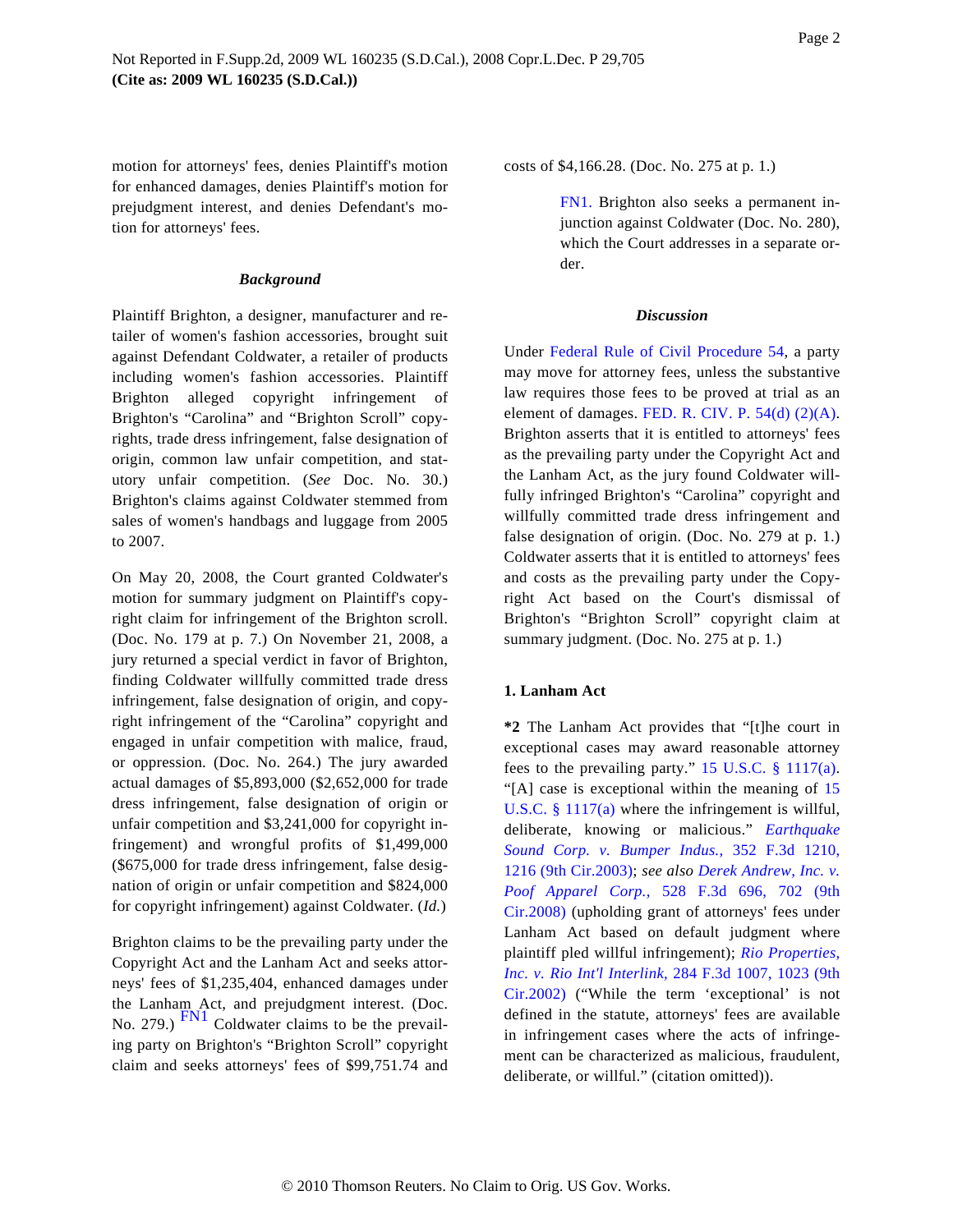<span id="page-2-0"></span>motion for attorneys' fees, denies Plaintiff's motion for enhanced damages, denies Plaintiff's motion for prejudgment interest, and denies Defendant's motion for attorneys' fees.

#### *Background*

Plaintiff Brighton, a designer, manufacturer and retailer of women's fashion accessories, brought suit against Defendant Coldwater, a retailer of products including women's fashion accessories. Plaintiff Brighton alleged copyright infringement of Brighton's "Carolina" and "Brighton Scroll" copyrights, trade dress infringement, false designation of origin, common law unfair competition, and statutory unfair competition. (*See* Doc. No. 30.) Brighton's claims against Coldwater stemmed from sales of women's handbags and luggage from 2005 to 2007.

On May 20, 2008, the Court granted Coldwater's motion for summary judgment on Plaintiff's copyright claim for infringement of the Brighton scroll. (Doc. No. 179 at p. 7.) On November 21, 2008, a jury returned a special verdict in favor of Brighton, finding Coldwater willfully committed trade dress infringement, false designation of origin, and copyright infringement of the "Carolina" copyright and engaged in unfair competition with malice, fraud, or oppression. (Doc. No. 264.) The jury awarded actual damages of \$5,893,000 (\$2,652,000 for trade dress infringement, false designation of origin or unfair competition and \$3,241,000 for copyright infringement) and wrongful profits of \$1,499,000 (\$675,000 for trade dress infringement, false designation of origin or unfair competition and \$824,000 for copyright infringement) against Coldwater. (*Id.*)

<span id="page-2-1"></span>Brighton claims to be the prevailing party under the Copyright Act and the Lanham Act and seeks attorneys' fees of \$1,235,404, enhanced damages under the Lanham Act, and prejudgment interest. (Doc. No. 279.) [FN1](#page-2-0) Coldwater claims to be the prevailing party on Brighton's "Brighton Scroll" copyright claim and seeks attorneys' fees of \$99,751.74 and costs of \$4,166.28. (Doc. No. 275 at p. 1.)

[FN1.](#page-2-1) Brighton also seeks a permanent injunction against Coldwater (Doc. No. 280), which the Court addresses in a separate order.

#### *Discussion*

Under [Federal Rule of Civil Procedure 5](http://www.westlaw.com/Find/Default.wl?rs=dfa1.0&vr=2.0&DB=1004365&DocName=USFRCPR54&FindType=L)4, a party may move for attorney fees, unless the substantive law requires those fees to be proved at trial as an element of damages. FED. R. CIV. P.  $54(d)$  (2)(A). Brighton asserts that it is entitled to attorneys' fees as the prevailing party under the Copyright Act and the Lanham Act, as the jury found Coldwater willfully infringed Brighton's "Carolina" copyright and willfully committed trade dress infringement and false designation of origin. (Doc. No. 279 at p. 1.) Coldwater asserts that it is entitled to attorneys' fees and costs as the prevailing party under the Copyright Act based on the Court's dismissal of Brighton's "Brighton Scroll" copyright claim at summary judgment. (Doc. No. 275 at p. 1.)

#### **1. Lanham Act**

**\*2** The Lanham Act provides that "[t]he court in exceptional cases may award reasonable attorney fees to the prevailing party." 15 U.S.C.  $\S$  1117(a). "[A] case is exceptional within the meaning of [15](http://www.westlaw.com/Find/Default.wl?rs=dfa1.0&vr=2.0&DB=1000546&DocName=15USCAS1117&FindType=L&ReferencePositionType=T&ReferencePosition=SP_8b3b0000958a4) U.S.C.  $\S 1117(a)$  where the infringement is willful, deliberate, knowing or malicious." *[Earthquake](http://www.westlaw.com/Find/Default.wl?rs=dfa1.0&vr=2.0&DB=506&FindType=Y&ReferencePositionType=S&SerialNum=2003922279&ReferencePosition=1216) [Sound Corp. v. Bumper Ind](http://www.westlaw.com/Find/Default.wl?rs=dfa1.0&vr=2.0&DB=506&FindType=Y&ReferencePositionType=S&SerialNum=2003922279&ReferencePosition=1216)us.,* [352 F.3d 121](http://www.westlaw.com/Find/Default.wl?rs=dfa1.0&vr=2.0&DB=506&FindType=Y&ReferencePositionType=S&SerialNum=2003922279&ReferencePosition=1216)0, [1216 \(9th Cir.2003\)](http://www.westlaw.com/Find/Default.wl?rs=dfa1.0&vr=2.0&DB=506&FindType=Y&ReferencePositionType=S&SerialNum=2003922279&ReferencePosition=1216); *see also [Derek Andrew, Inc. v.](http://www.westlaw.com/Find/Default.wl?rs=dfa1.0&vr=2.0&DB=506&FindType=Y&ReferencePositionType=S&SerialNum=2016289684&ReferencePosition=702) [Poof Apparel Cor](http://www.westlaw.com/Find/Default.wl?rs=dfa1.0&vr=2.0&DB=506&FindType=Y&ReferencePositionType=S&SerialNum=2016289684&ReferencePosition=702)p.,* [528 F.3d 696, 702](http://www.westlaw.com/Find/Default.wl?rs=dfa1.0&vr=2.0&DB=506&FindType=Y&ReferencePositionType=S&SerialNum=2016289684&ReferencePosition=702) (9th [Cir.2008\)](http://www.westlaw.com/Find/Default.wl?rs=dfa1.0&vr=2.0&DB=506&FindType=Y&ReferencePositionType=S&SerialNum=2016289684&ReferencePosition=702) (upholding grant of attorneys' fees under Lanham Act based on default judgment where plaintiff pled willful infringement); *[Rio Properties,](http://www.westlaw.com/Find/Default.wl?rs=dfa1.0&vr=2.0&DB=506&FindType=Y&ReferencePositionType=S&SerialNum=2002196447&ReferencePosition=1023) [Inc. v. Rio Int'l Interlink](http://www.westlaw.com/Find/Default.wl?rs=dfa1.0&vr=2.0&DB=506&FindType=Y&ReferencePositionType=S&SerialNum=2002196447&ReferencePosition=1023),* [284 F.3d 1007, 1023 \(9th](http://www.westlaw.com/Find/Default.wl?rs=dfa1.0&vr=2.0&DB=506&FindType=Y&ReferencePositionType=S&SerialNum=2002196447&ReferencePosition=1023) [Cir.2002\)](http://www.westlaw.com/Find/Default.wl?rs=dfa1.0&vr=2.0&DB=506&FindType=Y&ReferencePositionType=S&SerialNum=2002196447&ReferencePosition=1023) ("While the term 'exceptional' is not defined in the statute, attorneys' fees are available in infringement cases where the acts of infringement can be characterized as malicious, fraudulent, deliberate, or willful." (citation omitted)).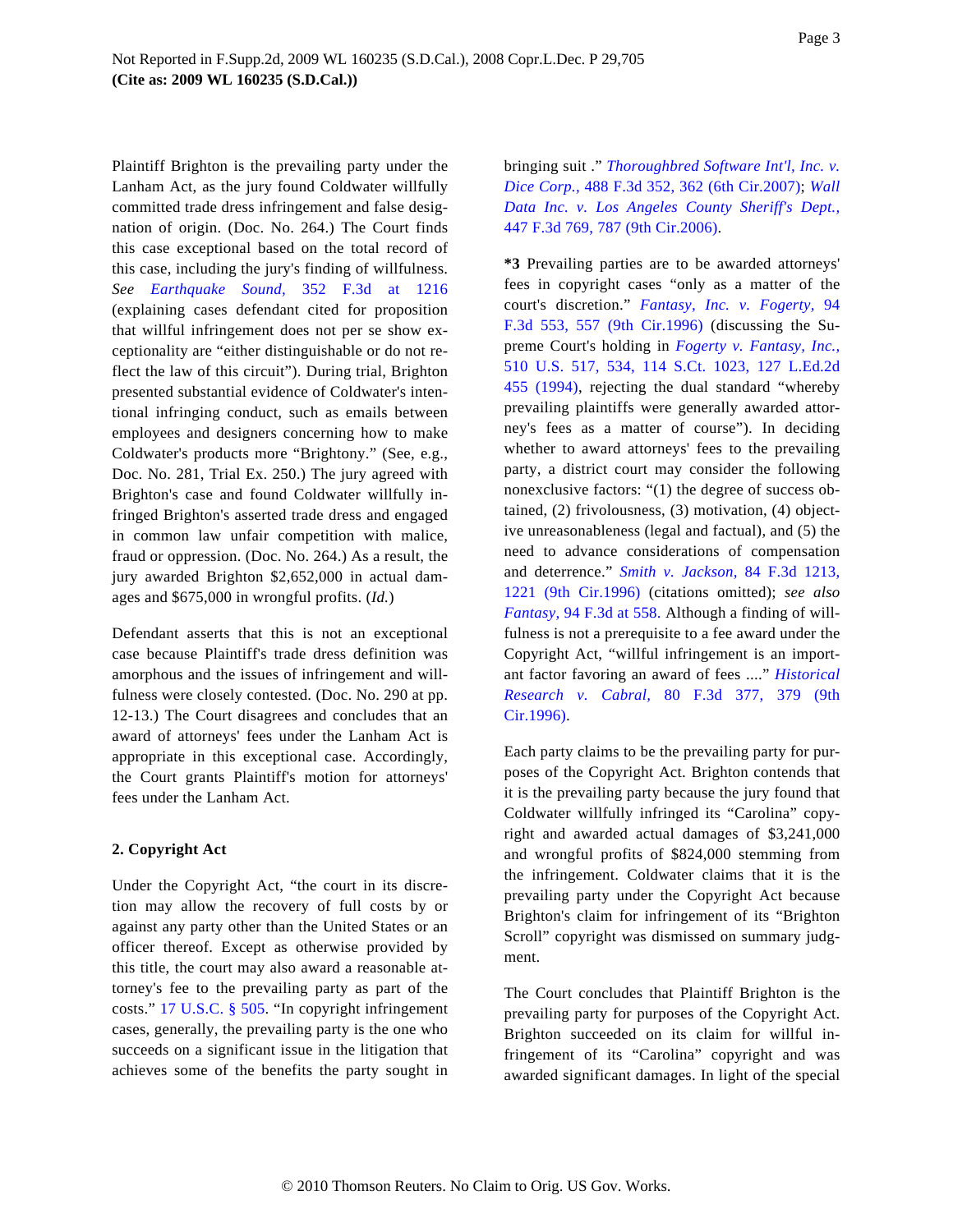Plaintiff Brighton is the prevailing party under the Lanham Act, as the jury found Coldwater willfully committed trade dress infringement and false designation of origin. (Doc. No. 264.) The Court finds this case exceptional based on the total record of this case, including the jury's finding of willfulness. *See [Earthquake Soun](http://www.westlaw.com/Find/Default.wl?rs=dfa1.0&vr=2.0&DB=506&FindType=Y&ReferencePositionType=S&SerialNum=2003922279&ReferencePosition=1216)d,* [352 F.3d at](http://www.westlaw.com/Find/Default.wl?rs=dfa1.0&vr=2.0&DB=506&FindType=Y&ReferencePositionType=S&SerialNum=2003922279&ReferencePosition=1216) 1216 (explaining cases defendant cited for proposition that willful infringement does not per se show exceptionality are "either distinguishable or do not reflect the law of this circuit"). During trial, Brighton presented substantial evidence of Coldwater's intentional infringing conduct, such as emails between employees and designers concerning how to make Coldwater's products more "Brightony." (See, e.g., Doc. No. 281, Trial Ex. 250.) The jury agreed with Brighton's case and found Coldwater willfully infringed Brighton's asserted trade dress and engaged in common law unfair competition with malice, fraud or oppression. (Doc. No. 264.) As a result, the jury awarded Brighton \$2,652,000 in actual damages and \$675,000 in wrongful profits. (*Id.*)

Defendant asserts that this is not an exceptional case because Plaintiff's trade dress definition was amorphous and the issues of infringement and willfulness were closely contested. (Doc. No. 290 at pp. 12-13.) The Court disagrees and concludes that an award of attorneys' fees under the Lanham Act is appropriate in this exceptional case. Accordingly, the Court grants Plaintiff's motion for attorneys' fees under the Lanham Act.

### **2. Copyright Act**

Under the Copyright Act, "the court in its discretion may allow the recovery of full costs by or against any party other than the United States or an officer thereof. Except as otherwise provided by this title, the court may also award a reasonable attorney's fee to the prevailing party as part of the costs." [17 U.S.C. § 505](http://www.westlaw.com/Find/Default.wl?rs=dfa1.0&vr=2.0&DB=1000546&DocName=17USCAS505&FindType=L). "In copyright infringement cases, generally, the prevailing party is the one who succeeds on a significant issue in the litigation that achieves some of the benefits the party sought in

bringing suit ." *[Thoroughbred Software Int'l, Inc. v.](http://www.westlaw.com/Find/Default.wl?rs=dfa1.0&vr=2.0&DB=506&FindType=Y&ReferencePositionType=S&SerialNum=2012476273&ReferencePosition=362) [Dice Corp.](http://www.westlaw.com/Find/Default.wl?rs=dfa1.0&vr=2.0&DB=506&FindType=Y&ReferencePositionType=S&SerialNum=2012476273&ReferencePosition=362),* [488 F.3d 352, 362 \(6th Cir.2007](http://www.westlaw.com/Find/Default.wl?rs=dfa1.0&vr=2.0&DB=506&FindType=Y&ReferencePositionType=S&SerialNum=2012476273&ReferencePosition=362)); *[Wall](http://www.westlaw.com/Find/Default.wl?rs=dfa1.0&vr=2.0&DB=506&FindType=Y&ReferencePositionType=S&SerialNum=2009170406&ReferencePosition=787) [Data Inc. v. Los Angeles County Sheriff's Dept.](http://www.westlaw.com/Find/Default.wl?rs=dfa1.0&vr=2.0&DB=506&FindType=Y&ReferencePositionType=S&SerialNum=2009170406&ReferencePosition=787),* [447 F.3d 769, 787 \(9th Cir.2006\)](http://www.westlaw.com/Find/Default.wl?rs=dfa1.0&vr=2.0&DB=506&FindType=Y&ReferencePositionType=S&SerialNum=2009170406&ReferencePosition=787).

**\*3** Prevailing parties are to be awarded attorneys' fees in copyright cases "only as a matter of the court's discretion." *[Fantasy, Inc. v. Fogerty,](http://www.westlaw.com/Find/Default.wl?rs=dfa1.0&vr=2.0&DB=506&FindType=Y&ReferencePositionType=S&SerialNum=1996197190&ReferencePosition=557)* 94 [F.3d 553, 557 \(9th Cir.199](http://www.westlaw.com/Find/Default.wl?rs=dfa1.0&vr=2.0&DB=506&FindType=Y&ReferencePositionType=S&SerialNum=1996197190&ReferencePosition=557)6) (discussing the Supreme Court's holding in *[Fogerty v. Fantasy, Inc.](http://www.westlaw.com/Find/Default.wl?rs=dfa1.0&vr=2.0&DB=708&FindType=Y&SerialNum=1994054910),* [510 U.S. 517, 534, 114 S.Ct. 1023, 127 L.Ed](http://www.westlaw.com/Find/Default.wl?rs=dfa1.0&vr=2.0&DB=708&FindType=Y&SerialNum=1994054910).2d [455 \(1994](http://www.westlaw.com/Find/Default.wl?rs=dfa1.0&vr=2.0&DB=708&FindType=Y&SerialNum=1994054910)), rejecting the dual standard "whereby prevailing plaintiffs were generally awarded attorney's fees as a matter of course"). In deciding whether to award attorneys' fees to the prevailing party, a district court may consider the following nonexclusive factors: "(1) the degree of success obtained, (2) frivolousness, (3) motivation, (4) objective unreasonableness (legal and factual), and (5) the need to advance considerations of compensation and deterrence." *[Smith v. Jackson](http://www.westlaw.com/Find/Default.wl?rs=dfa1.0&vr=2.0&DB=506&FindType=Y&ReferencePositionType=S&SerialNum=1996128764&ReferencePosition=1221),* [84 F.3d 1213](http://www.westlaw.com/Find/Default.wl?rs=dfa1.0&vr=2.0&DB=506&FindType=Y&ReferencePositionType=S&SerialNum=1996128764&ReferencePosition=1221), [1221 \(9th Cir.1996](http://www.westlaw.com/Find/Default.wl?rs=dfa1.0&vr=2.0&DB=506&FindType=Y&ReferencePositionType=S&SerialNum=1996128764&ReferencePosition=1221)) (citations omitted); *see also [Fantasy,](http://www.westlaw.com/Find/Default.wl?rs=dfa1.0&vr=2.0&DB=506&FindType=Y&ReferencePositionType=S&SerialNum=1996197190&ReferencePosition=558)* [94 F.3d at 558](http://www.westlaw.com/Find/Default.wl?rs=dfa1.0&vr=2.0&DB=506&FindType=Y&ReferencePositionType=S&SerialNum=1996197190&ReferencePosition=558). Although a finding of willfulness is not a prerequisite to a fee award under the Copyright Act, "willful infringement is an important factor favoring an award of fees ...." *[Historical](http://www.westlaw.com/Find/Default.wl?rs=dfa1.0&vr=2.0&DB=506&FindType=Y&ReferencePositionType=S&SerialNum=1996085420&ReferencePosition=379) [Research v. Cabr](http://www.westlaw.com/Find/Default.wl?rs=dfa1.0&vr=2.0&DB=506&FindType=Y&ReferencePositionType=S&SerialNum=1996085420&ReferencePosition=379)al,* [80 F.3d 377, 379](http://www.westlaw.com/Find/Default.wl?rs=dfa1.0&vr=2.0&DB=506&FindType=Y&ReferencePositionType=S&SerialNum=1996085420&ReferencePosition=379) (9th [Cir.1996\).](http://www.westlaw.com/Find/Default.wl?rs=dfa1.0&vr=2.0&DB=506&FindType=Y&ReferencePositionType=S&SerialNum=1996085420&ReferencePosition=379)

Each party claims to be the prevailing party for purposes of the Copyright Act. Brighton contends that it is the prevailing party because the jury found that Coldwater willfully infringed its "Carolina" copyright and awarded actual damages of \$3,241,000 and wrongful profits of \$824,000 stemming from the infringement. Coldwater claims that it is the prevailing party under the Copyright Act because Brighton's claim for infringement of its "Brighton Scroll" copyright was dismissed on summary judgment.

The Court concludes that Plaintiff Brighton is the prevailing party for purposes of the Copyright Act. Brighton succeeded on its claim for willful infringement of its "Carolina" copyright and was awarded significant damages. In light of the special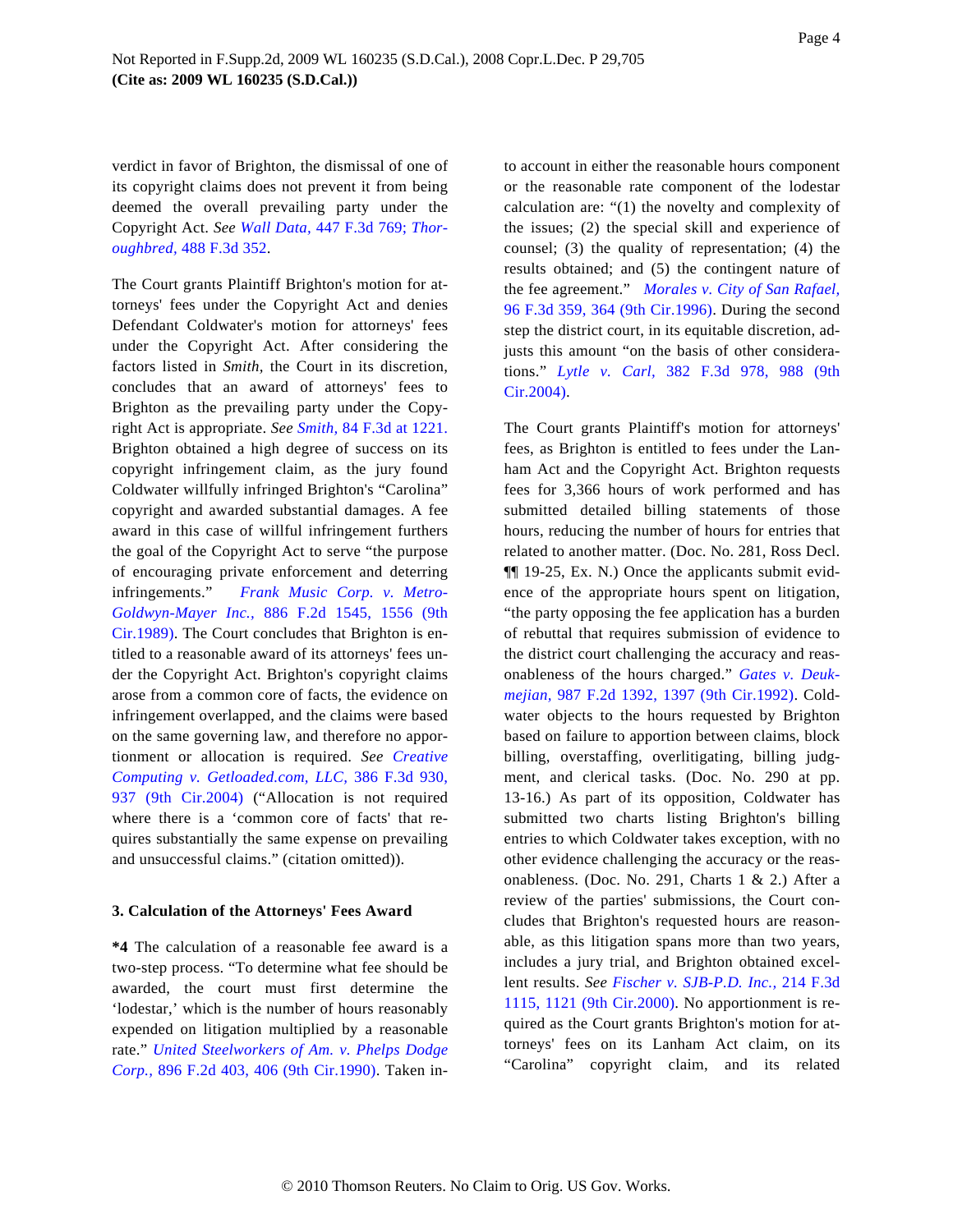verdict in favor of Brighton, the dismissal of one of its copyright claims does not prevent it from being deemed the overall prevailing party under the Copyright Act. *See [Wall Data](http://www.westlaw.com/Find/Default.wl?rs=dfa1.0&vr=2.0&DB=506&FindType=Y&SerialNum=2009170406),* [447 F.3d 769](http://www.westlaw.com/Find/Default.wl?rs=dfa1.0&vr=2.0&DB=506&FindType=Y&SerialNum=2009170406); *[Thor](http://www.westlaw.com/Find/Default.wl?rs=dfa1.0&vr=2.0&DB=506&FindType=Y&SerialNum=2012476273)[oughbred,](http://www.westlaw.com/Find/Default.wl?rs=dfa1.0&vr=2.0&DB=506&FindType=Y&SerialNum=2012476273)* [488 F.3d 352](http://www.westlaw.com/Find/Default.wl?rs=dfa1.0&vr=2.0&DB=506&FindType=Y&SerialNum=2012476273).

The Court grants Plaintiff Brighton's motion for attorneys' fees under the Copyright Act and denies Defendant Coldwater's motion for attorneys' fees under the Copyright Act. After considering the factors listed in *Smith,* the Court in its discretion, concludes that an award of attorneys' fees to Brighton as the prevailing party under the Copyright Act is appropriate. *See [Smith,](http://www.westlaw.com/Find/Default.wl?rs=dfa1.0&vr=2.0&DB=506&FindType=Y&ReferencePositionType=S&SerialNum=1996128764&ReferencePosition=1221)* [84 F.3d at 1221](http://www.westlaw.com/Find/Default.wl?rs=dfa1.0&vr=2.0&DB=506&FindType=Y&ReferencePositionType=S&SerialNum=1996128764&ReferencePosition=1221). Brighton obtained a high degree of success on its copyright infringement claim, as the jury found Coldwater willfully infringed Brighton's "Carolina" copyright and awarded substantial damages. A fee award in this case of willful infringement furthers the goal of the Copyright Act to serve "the purpose of encouraging private enforcement and deterring infringements." *[Frank Music Corp. v. Met](http://www.westlaw.com/Find/Default.wl?rs=dfa1.0&vr=2.0&DB=350&FindType=Y&ReferencePositionType=S&SerialNum=1989136103&ReferencePosition=1556)ro-[Goldwyn-Mayer Inc](http://www.westlaw.com/Find/Default.wl?rs=dfa1.0&vr=2.0&DB=350&FindType=Y&ReferencePositionType=S&SerialNum=1989136103&ReferencePosition=1556).,* [886 F.2d 1545, 1556](http://www.westlaw.com/Find/Default.wl?rs=dfa1.0&vr=2.0&DB=350&FindType=Y&ReferencePositionType=S&SerialNum=1989136103&ReferencePosition=1556) (9th [Cir.1989\).](http://www.westlaw.com/Find/Default.wl?rs=dfa1.0&vr=2.0&DB=350&FindType=Y&ReferencePositionType=S&SerialNum=1989136103&ReferencePosition=1556) The Court concludes that Brighton is entitled to a reasonable award of its attorneys' fees under the Copyright Act. Brighton's copyright claims arose from a common core of facts, the evidence on infringement overlapped, and the claims were based on the same governing law, and therefore no apportionment or allocation is required. *See [Creative](http://www.westlaw.com/Find/Default.wl?rs=dfa1.0&vr=2.0&DB=506&FindType=Y&ReferencePositionType=S&SerialNum=2005334572&ReferencePosition=937) [Computing v. Getloaded.com, LLC](http://www.westlaw.com/Find/Default.wl?rs=dfa1.0&vr=2.0&DB=506&FindType=Y&ReferencePositionType=S&SerialNum=2005334572&ReferencePosition=937),* [386 F.3d 930](http://www.westlaw.com/Find/Default.wl?rs=dfa1.0&vr=2.0&DB=506&FindType=Y&ReferencePositionType=S&SerialNum=2005334572&ReferencePosition=937), [937 \(9th Cir.200](http://www.westlaw.com/Find/Default.wl?rs=dfa1.0&vr=2.0&DB=506&FindType=Y&ReferencePositionType=S&SerialNum=2005334572&ReferencePosition=937)4) ("Allocation is not required where there is a 'common core of facts' that requires substantially the same expense on prevailing and unsuccessful claims." (citation omitted)).

#### **3. Calculation of the Attorneys' Fees Award**

**\*4** The calculation of a reasonable fee award is a two-step process. "To determine what fee should be awarded, the court must first determine the 'lodestar,' which is the number of hours reasonably expended on litigation multiplied by a reasonable rate." *[United Steelworkers of Am. v. Phelps Dodg](http://www.westlaw.com/Find/Default.wl?rs=dfa1.0&vr=2.0&DB=350&FindType=Y&ReferencePositionType=S&SerialNum=1990036819&ReferencePosition=406)e [Corp.,](http://www.westlaw.com/Find/Default.wl?rs=dfa1.0&vr=2.0&DB=350&FindType=Y&ReferencePositionType=S&SerialNum=1990036819&ReferencePosition=406)* [896 F.2d 403, 406 \(9th Cir.1990](http://www.westlaw.com/Find/Default.wl?rs=dfa1.0&vr=2.0&DB=350&FindType=Y&ReferencePositionType=S&SerialNum=1990036819&ReferencePosition=406)). Taken in-

to account in either the reasonable hours component or the reasonable rate component of the lodestar calculation are: "(1) the novelty and complexity of the issues; (2) the special skill and experience of counsel; (3) the quality of representation; (4) the results obtained; and (5) the contingent nature of the fee agreement." *[Morales v. City of San Rafael](http://www.westlaw.com/Find/Default.wl?rs=dfa1.0&vr=2.0&DB=506&FindType=Y&ReferencePositionType=S&SerialNum=1996204488&ReferencePosition=364),* [96 F.3d 359, 364 \(9th Cir.1996](http://www.westlaw.com/Find/Default.wl?rs=dfa1.0&vr=2.0&DB=506&FindType=Y&ReferencePositionType=S&SerialNum=1996204488&ReferencePosition=364)). During the second step the district court, in its equitable discretion, adjusts this amount "on the basis of other considerations." *[Lytle v. Ca](http://www.westlaw.com/Find/Default.wl?rs=dfa1.0&vr=2.0&DB=506&FindType=Y&ReferencePositionType=S&SerialNum=2004972090&ReferencePosition=988)rl,* [382 F.3d 978, 988](http://www.westlaw.com/Find/Default.wl?rs=dfa1.0&vr=2.0&DB=506&FindType=Y&ReferencePositionType=S&SerialNum=2004972090&ReferencePosition=988) (9th [Cir.2004\).](http://www.westlaw.com/Find/Default.wl?rs=dfa1.0&vr=2.0&DB=506&FindType=Y&ReferencePositionType=S&SerialNum=2004972090&ReferencePosition=988)

The Court grants Plaintiff's motion for attorneys' fees, as Brighton is entitled to fees under the Lanham Act and the Copyright Act. Brighton requests fees for 3,366 hours of work performed and has submitted detailed billing statements of those hours, reducing the number of hours for entries that related to another matter. (Doc. No. 281, Ross Decl. ¶¶ 19-25, Ex. N.) Once the applicants submit evidence of the appropriate hours spent on litigation, "the party opposing the fee application has a burden of rebuttal that requires submission of evidence to the district court challenging the accuracy and reasonableness of the hours charged." *[Gates v. Deuk](http://www.westlaw.com/Find/Default.wl?rs=dfa1.0&vr=2.0&DB=350&FindType=Y&ReferencePositionType=S&SerialNum=1993059449&ReferencePosition=1397)[mejian,](http://www.westlaw.com/Find/Default.wl?rs=dfa1.0&vr=2.0&DB=350&FindType=Y&ReferencePositionType=S&SerialNum=1993059449&ReferencePosition=1397)* [987 F.2d 1392, 1397 \(9th Cir.1992](http://www.westlaw.com/Find/Default.wl?rs=dfa1.0&vr=2.0&DB=350&FindType=Y&ReferencePositionType=S&SerialNum=1993059449&ReferencePosition=1397)). Coldwater objects to the hours requested by Brighton based on failure to apportion between claims, block billing, overstaffing, overlitigating, billing judgment, and clerical tasks. (Doc. No. 290 at pp. 13-16.) As part of its opposition, Coldwater has submitted two charts listing Brighton's billing entries to which Coldwater takes exception, with no other evidence challenging the accuracy or the reasonableness. (Doc. No. 291, Charts 1 & 2.) After a review of the parties' submissions, the Court concludes that Brighton's requested hours are reasonable, as this litigation spans more than two years, includes a jury trial, and Brighton obtained excellent results. *See [Fischer v. SJB-P.D. Inc.](http://www.westlaw.com/Find/Default.wl?rs=dfa1.0&vr=2.0&DB=506&FindType=Y&ReferencePositionType=S&SerialNum=2000380916&ReferencePosition=1121),* [214 F.3d](http://www.westlaw.com/Find/Default.wl?rs=dfa1.0&vr=2.0&DB=506&FindType=Y&ReferencePositionType=S&SerialNum=2000380916&ReferencePosition=1121) [1115, 1121 \(9th Cir.2000](http://www.westlaw.com/Find/Default.wl?rs=dfa1.0&vr=2.0&DB=506&FindType=Y&ReferencePositionType=S&SerialNum=2000380916&ReferencePosition=1121)). No apportionment is required as the Court grants Brighton's motion for attorneys' fees on its Lanham Act claim, on its "Carolina" copyright claim, and its related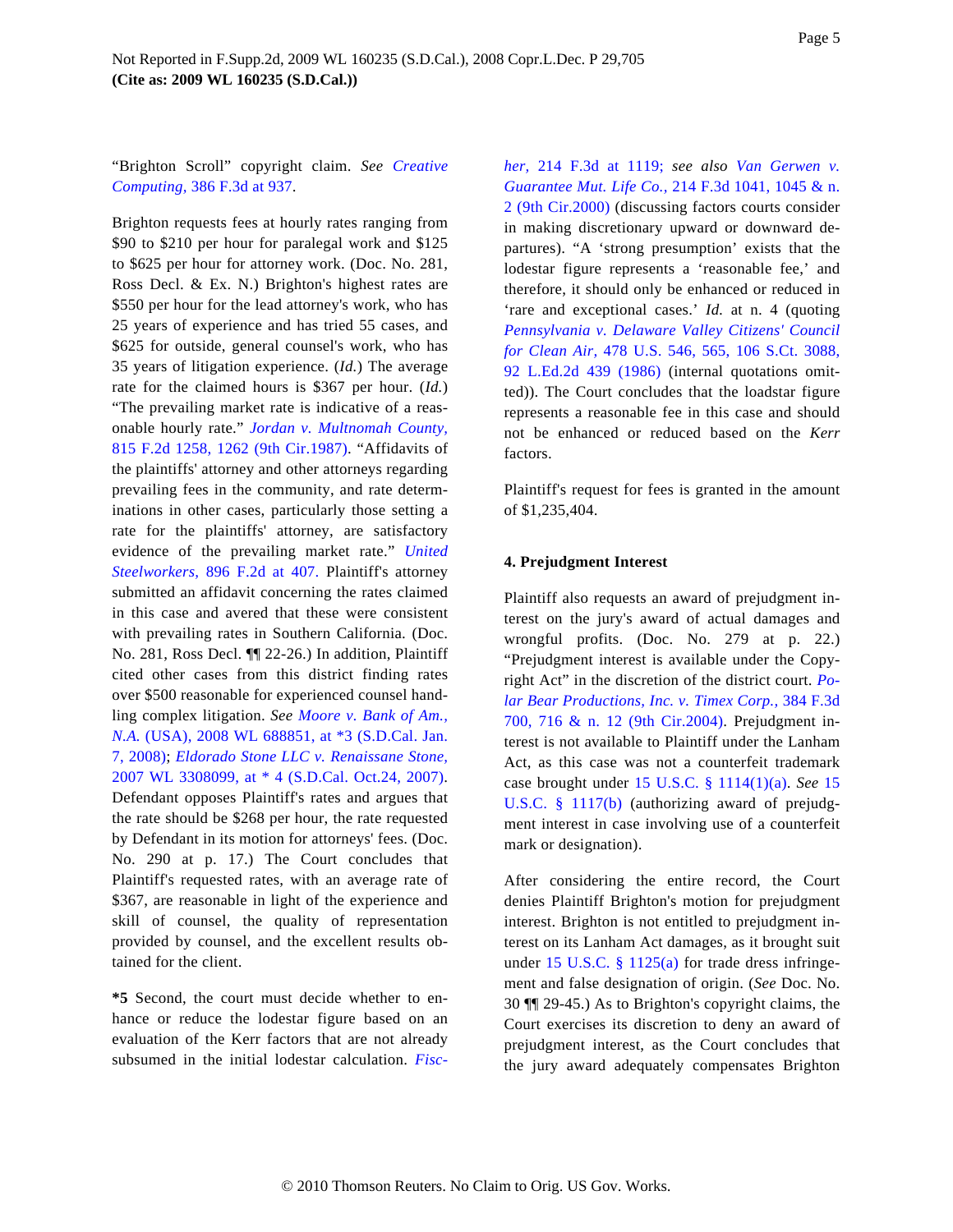"Brighton Scroll" copyright claim. *See [Creative](http://www.westlaw.com/Find/Default.wl?rs=dfa1.0&vr=2.0&DB=506&FindType=Y&ReferencePositionType=S&SerialNum=2005334572&ReferencePosition=937) [Computing,](http://www.westlaw.com/Find/Default.wl?rs=dfa1.0&vr=2.0&DB=506&FindType=Y&ReferencePositionType=S&SerialNum=2005334572&ReferencePosition=937)* [386 F.3d at 937](http://www.westlaw.com/Find/Default.wl?rs=dfa1.0&vr=2.0&DB=506&FindType=Y&ReferencePositionType=S&SerialNum=2005334572&ReferencePosition=937).

Brighton requests fees at hourly rates ranging from \$90 to \$210 per hour for paralegal work and \$125 to \$625 per hour for attorney work. (Doc. No. 281, Ross Decl. & Ex. N.) Brighton's highest rates are \$550 per hour for the lead attorney's work, who has 25 years of experience and has tried 55 cases, and \$625 for outside, general counsel's work, who has 35 years of litigation experience. (*Id.*) The average rate for the claimed hours is \$367 per hour. (*Id.*) "The prevailing market rate is indicative of a reasonable hourly rate." *[Jordan v. Multnomah County](http://www.westlaw.com/Find/Default.wl?rs=dfa1.0&vr=2.0&DB=350&FindType=Y&ReferencePositionType=S&SerialNum=1987052027&ReferencePosition=1262),* [815 F.2d 1258, 1262 \(9th Cir.1987](http://www.westlaw.com/Find/Default.wl?rs=dfa1.0&vr=2.0&DB=350&FindType=Y&ReferencePositionType=S&SerialNum=1987052027&ReferencePosition=1262)). "Affidavits of the plaintiffs' attorney and other attorneys regarding prevailing fees in the community, and rate determinations in other cases, particularly those setting a rate for the plaintiffs' attorney, are satisfactory evidence of the prevailing market rate." *[United](http://www.westlaw.com/Find/Default.wl?rs=dfa1.0&vr=2.0&DB=350&FindType=Y&ReferencePositionType=S&SerialNum=1990036819&ReferencePosition=407) [Steelworkers,](http://www.westlaw.com/Find/Default.wl?rs=dfa1.0&vr=2.0&DB=350&FindType=Y&ReferencePositionType=S&SerialNum=1990036819&ReferencePosition=407)* [896 F.2d at 40](http://www.westlaw.com/Find/Default.wl?rs=dfa1.0&vr=2.0&DB=350&FindType=Y&ReferencePositionType=S&SerialNum=1990036819&ReferencePosition=407)7. Plaintiff's attorney submitted an affidavit concerning the rates claimed in this case and avered that these were consistent with prevailing rates in Southern California. (Doc. No. 281, Ross Decl. ¶¶ 22-26.) In addition, Plaintiff cited other cases from this district finding rates over \$500 reasonable for experienced counsel handling complex litigation. *See [Moore v. Bank of Am.](http://www.westlaw.com/Find/Default.wl?rs=dfa1.0&vr=2.0&DB=999&FindType=Y&SerialNum=0334172770), [N.A.](http://www.westlaw.com/Find/Default.wl?rs=dfa1.0&vr=2.0&DB=999&FindType=Y&SerialNum=0334172770)* [\(USA\), 2008 WL 688851, at \\*3 \(S.D.Cal. Jan](http://www.westlaw.com/Find/Default.wl?rs=dfa1.0&vr=2.0&DB=999&FindType=Y&SerialNum=0334172770). [7, 2008\)](http://www.westlaw.com/Find/Default.wl?rs=dfa1.0&vr=2.0&DB=999&FindType=Y&SerialNum=0334172770); *[Eldorado Stone LLC v. Renaissane Stone](http://www.westlaw.com/Find/Default.wl?rs=dfa1.0&vr=2.0&DB=0000999&FindType=Y&SerialNum=2013960506),* [2007 WL 3308099, at \\* 4 \(S.D.Cal. Oct.24, 2007](http://www.westlaw.com/Find/Default.wl?rs=dfa1.0&vr=2.0&DB=0000999&FindType=Y&SerialNum=2013960506)). Defendant opposes Plaintiff's rates and argues that the rate should be \$268 per hour, the rate requested by Defendant in its motion for attorneys' fees. (Doc. No. 290 at p. 17.) The Court concludes that Plaintiff's requested rates, with an average rate of \$367, are reasonable in light of the experience and skill of counsel, the quality of representation provided by counsel, and the excellent results obtained for the client.

**\*5** Second, the court must decide whether to enhance or reduce the lodestar figure based on an evaluation of the Kerr factors that are not already subsumed in the initial lodestar calculation. *Fisc-*

*[her,](http://www.westlaw.com/Find/Default.wl?rs=dfa1.0&vr=2.0&DB=506&FindType=Y&ReferencePositionType=S&SerialNum=2000380916&ReferencePosition=1119)* [214 F.3d at 11](http://www.westlaw.com/Find/Default.wl?rs=dfa1.0&vr=2.0&DB=506&FindType=Y&ReferencePositionType=S&SerialNum=2000380916&ReferencePosition=1119)19; *see also [Van Gerwen v](http://www.westlaw.com/Find/Default.wl?rs=dfa1.0&vr=2.0&DB=506&FindType=Y&ReferencePositionType=S&SerialNum=2000368280&ReferencePosition=1045). [Guarantee Mut. Life Co.](http://www.westlaw.com/Find/Default.wl?rs=dfa1.0&vr=2.0&DB=506&FindType=Y&ReferencePositionType=S&SerialNum=2000368280&ReferencePosition=1045),* [214 F.3d 1041, 1045 & n.](http://www.westlaw.com/Find/Default.wl?rs=dfa1.0&vr=2.0&DB=506&FindType=Y&ReferencePositionType=S&SerialNum=2000368280&ReferencePosition=1045) [2 \(9th Cir.2000](http://www.westlaw.com/Find/Default.wl?rs=dfa1.0&vr=2.0&DB=506&FindType=Y&ReferencePositionType=S&SerialNum=2000368280&ReferencePosition=1045)) (discussing factors courts consider in making discretionary upward or downward departures). "A 'strong presumption' exists that the lodestar figure represents a 'reasonable fee,' and therefore, it should only be enhanced or reduced in 'rare and exceptional cases.' *Id.* at n. 4 (quoting *[Pennsylvania v. Delaware Valley Citizens' Counci](http://www.westlaw.com/Find/Default.wl?rs=dfa1.0&vr=2.0&DB=708&FindType=Y&SerialNum=1986134011)l [for Clean Air](http://www.westlaw.com/Find/Default.wl?rs=dfa1.0&vr=2.0&DB=708&FindType=Y&SerialNum=1986134011),* [478 U.S. 546, 565, 106 S.Ct. 308](http://www.westlaw.com/Find/Default.wl?rs=dfa1.0&vr=2.0&DB=708&FindType=Y&SerialNum=1986134011)8, [92 L.Ed.2d 439 \(198](http://www.westlaw.com/Find/Default.wl?rs=dfa1.0&vr=2.0&DB=708&FindType=Y&SerialNum=1986134011)6) (internal quotations omitted)). The Court concludes that the loadstar figure represents a reasonable fee in this case and should not be enhanced or reduced based on the *Kerr* factors.

Plaintiff's request for fees is granted in the amount of \$1,235,404.

#### **4. Prejudgment Interest**

Plaintiff also requests an award of prejudgment interest on the jury's award of actual damages and wrongful profits. (Doc. No. 279 at p. 22.) "Prejudgment interest is available under the Copyright Act" in the discretion of the district court. *[Po](http://www.westlaw.com/Find/Default.wl?rs=dfa1.0&vr=2.0&DB=506&FindType=Y&ReferencePositionType=S&SerialNum=2004975477&ReferencePosition=716)[lar Bear Productions, Inc. v. Timex Corp.](http://www.westlaw.com/Find/Default.wl?rs=dfa1.0&vr=2.0&DB=506&FindType=Y&ReferencePositionType=S&SerialNum=2004975477&ReferencePosition=716),* [384 F.3d](http://www.westlaw.com/Find/Default.wl?rs=dfa1.0&vr=2.0&DB=506&FindType=Y&ReferencePositionType=S&SerialNum=2004975477&ReferencePosition=716) [700, 716 & n. 12 \(9th Cir.200](http://www.westlaw.com/Find/Default.wl?rs=dfa1.0&vr=2.0&DB=506&FindType=Y&ReferencePositionType=S&SerialNum=2004975477&ReferencePosition=716)4). Prejudgment interest is not available to Plaintiff under the Lanham Act, as this case was not a counterfeit trademark case brought under [15 U.S.C. § 1114\(1\)\(a](http://www.westlaw.com/Find/Default.wl?rs=dfa1.0&vr=2.0&DB=1000546&DocName=15USCAS1114&FindType=L&ReferencePositionType=T&ReferencePosition=SP_9f800000f2221)). *See* [15](http://www.westlaw.com/Find/Default.wl?rs=dfa1.0&vr=2.0&DB=1000546&DocName=15USCAS1117&FindType=L&ReferencePositionType=T&ReferencePosition=SP_a83b000018c76) [U.S.C. § 1117\(b](http://www.westlaw.com/Find/Default.wl?rs=dfa1.0&vr=2.0&DB=1000546&DocName=15USCAS1117&FindType=L&ReferencePositionType=T&ReferencePosition=SP_a83b000018c76)) (authorizing award of prejudgment interest in case involving use of a counterfeit mark or designation).

After considering the entire record, the Court denies Plaintiff Brighton's motion for prejudgment interest. Brighton is not entitled to prejudgment interest on its Lanham Act damages, as it brought suit under 15 U.S.C.  $\S$  1125(a) for trade dress infringement and false designation of origin. (*See* Doc. No. 30 ¶¶ 29-45.) As to Brighton's copyright claims, the Court exercises its discretion to deny an award of prejudgment interest, as the Court concludes that the jury award adequately compensates Brighton